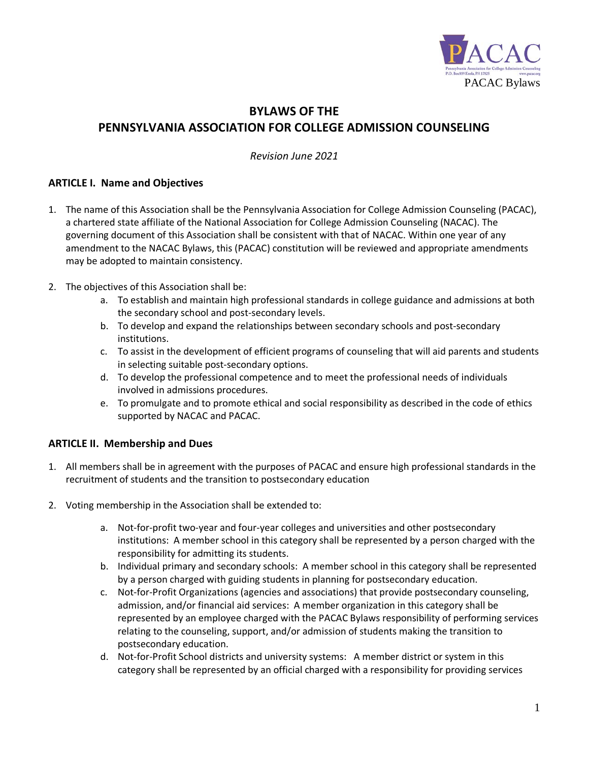

# **BYLAWS OF THE PENNSYLVANIA ASSOCIATION FOR COLLEGE ADMISSION COUNSELING**

*Revision June 2021*

## **ARTICLE I. Name and Objectives**

- 1. The name of this Association shall be the Pennsylvania Association for College Admission Counseling (PACAC), a chartered state affiliate of the National Association for College Admission Counseling (NACAC). The governing document of this Association shall be consistent with that of NACAC. Within one year of any amendment to the NACAC Bylaws, this (PACAC) constitution will be reviewed and appropriate amendments may be adopted to maintain consistency.
- 2. The objectives of this Association shall be:
	- a. To establish and maintain high professional standards in college guidance and admissions at both the secondary school and post-secondary levels.
	- b. To develop and expand the relationships between secondary schools and post-secondary institutions.
	- c. To assist in the development of efficient programs of counseling that will aid parents and students in selecting suitable post-secondary options.
	- d. To develop the professional competence and to meet the professional needs of individuals involved in admissions procedures.
	- e. To promulgate and to promote ethical and social responsibility as described in the code of ethics supported by NACAC and PACAC.

## **ARTICLE II. Membership and Dues**

- 1. All members shall be in agreement with the purposes of PACAC and ensure high professional standards in the recruitment of students and the transition to postsecondary education
- 2. Voting membership in the Association shall be extended to:
	- a. Not-for-profit two-year and four-year colleges and universities and other postsecondary institutions: A member school in this category shall be represented by a person charged with the responsibility for admitting its students.
	- b. Individual primary and secondary schools: A member school in this category shall be represented by a person charged with guiding students in planning for postsecondary education.
	- c. Not-for-Profit Organizations (agencies and associations) that provide postsecondary counseling, admission, and/or financial aid services: A member organization in this category shall be represented by an employee charged with the PACAC Bylaws responsibility of performing services relating to the counseling, support, and/or admission of students making the transition to postsecondary education.
	- d. Not-for-Profit School districts and university systems: A member district or system in this category shall be represented by an official charged with a responsibility for providing services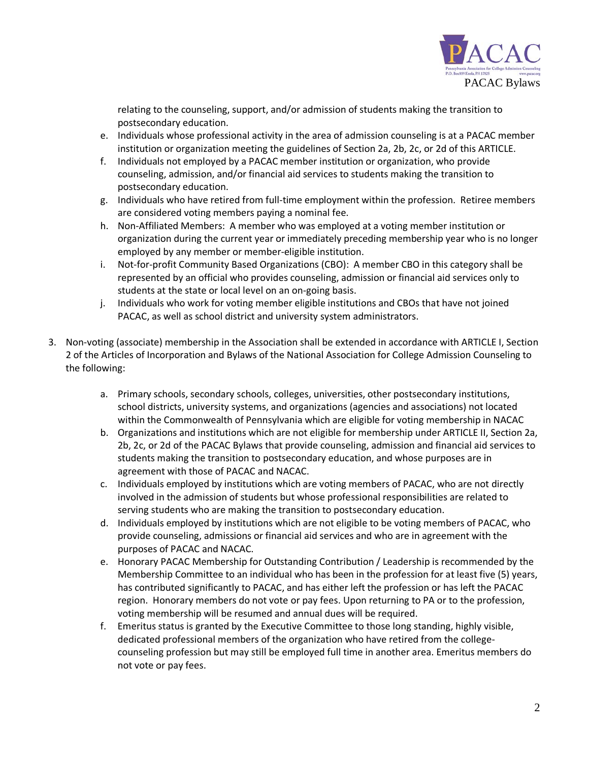

relating to the counseling, support, and/or admission of students making the transition to postsecondary education.

- e. Individuals whose professional activity in the area of admission counseling is at a PACAC member institution or organization meeting the guidelines of Section 2a, 2b, 2c, or 2d of this ARTICLE.
- f. Individuals not employed by a PACAC member institution or organization, who provide counseling, admission, and/or financial aid services to students making the transition to postsecondary education.
- g. Individuals who have retired from full-time employment within the profession. Retiree members are considered voting members paying a nominal fee.
- h. Non-Affiliated Members: A member who was employed at a voting member institution or organization during the current year or immediately preceding membership year who is no longer employed by any member or member-eligible institution.
- i. Not-for-profit Community Based Organizations (CBO): A member CBO in this category shall be represented by an official who provides counseling, admission or financial aid services only to students at the state or local level on an on-going basis.
- j. Individuals who work for voting member eligible institutions and CBOs that have not joined PACAC, as well as school district and university system administrators.
- 3. Non-voting (associate) membership in the Association shall be extended in accordance with ARTICLE I, Section 2 of the Articles of Incorporation and Bylaws of the National Association for College Admission Counseling to the following:
	- a. Primary schools, secondary schools, colleges, universities, other postsecondary institutions, school districts, university systems, and organizations (agencies and associations) not located within the Commonwealth of Pennsylvania which are eligible for voting membership in NACAC
	- b. Organizations and institutions which are not eligible for membership under ARTICLE II, Section 2a, 2b, 2c, or 2d of the PACAC Bylaws that provide counseling, admission and financial aid services to students making the transition to postsecondary education, and whose purposes are in agreement with those of PACAC and NACAC.
	- c. Individuals employed by institutions which are voting members of PACAC, who are not directly involved in the admission of students but whose professional responsibilities are related to serving students who are making the transition to postsecondary education.
	- d. Individuals employed by institutions which are not eligible to be voting members of PACAC, who provide counseling, admissions or financial aid services and who are in agreement with the purposes of PACAC and NACAC.
	- e. Honorary PACAC Membership for Outstanding Contribution / Leadership is recommended by the Membership Committee to an individual who has been in the profession for at least five (5) years, has contributed significantly to PACAC, and has either left the profession or has left the PACAC region. Honorary members do not vote or pay fees. Upon returning to PA or to the profession, voting membership will be resumed and annual dues will be required.
	- f. Emeritus status is granted by the Executive Committee to those long standing, highly visible, dedicated professional members of the organization who have retired from the collegecounseling profession but may still be employed full time in another area. Emeritus members do not vote or pay fees.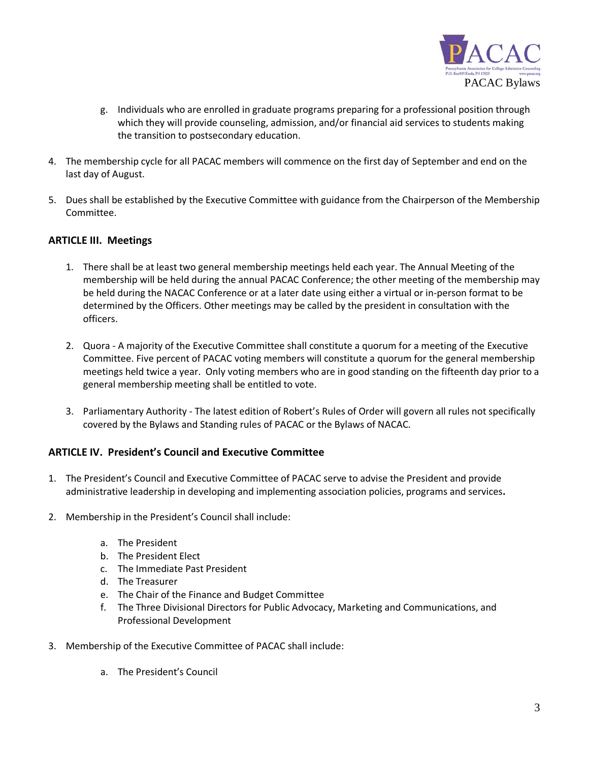

- g. Individuals who are enrolled in graduate programs preparing for a professional position through which they will provide counseling, admission, and/or financial aid services to students making the transition to postsecondary education.
- 4. The membership cycle for all PACAC members will commence on the first day of September and end on the last day of August.
- 5. Dues shall be established by the Executive Committee with guidance from the Chairperson of the Membership Committee.

#### **ARTICLE III. Meetings**

- 1. There shall be at least two general membership meetings held each year. The Annual Meeting of the membership will be held during the annual PACAC Conference; the other meeting of the membership may be held during the NACAC Conference or at a later date using either a virtual or in-person format to be determined by the Officers. Other meetings may be called by the president in consultation with the officers.
- 2. Quora A majority of the Executive Committee shall constitute a quorum for a meeting of the Executive Committee. Five percent of PACAC voting members will constitute a quorum for the general membership meetings held twice a year. Only voting members who are in good standing on the fifteenth day prior to a general membership meeting shall be entitled to vote.
- 3. Parliamentary Authority The latest edition of Robert's Rules of Order will govern all rules not specifically covered by the Bylaws and Standing rules of PACAC or the Bylaws of NACAC.

#### **ARTICLE IV. President's Council and Executive Committee**

- 1. The President's Council and Executive Committee of PACAC serve to advise the President and provide administrative leadership in developing and implementing association policies, programs and services**.**
- 2. Membership in the President's Council shall include:
	- a. The President
	- b. The President Elect
	- c. The Immediate Past President
	- d. The Treasurer
	- e. The Chair of the Finance and Budget Committee
	- f. The Three Divisional Directors for Public Advocacy, Marketing and Communications, and Professional Development
- 3. Membership of the Executive Committee of PACAC shall include:
	- a. The President's Council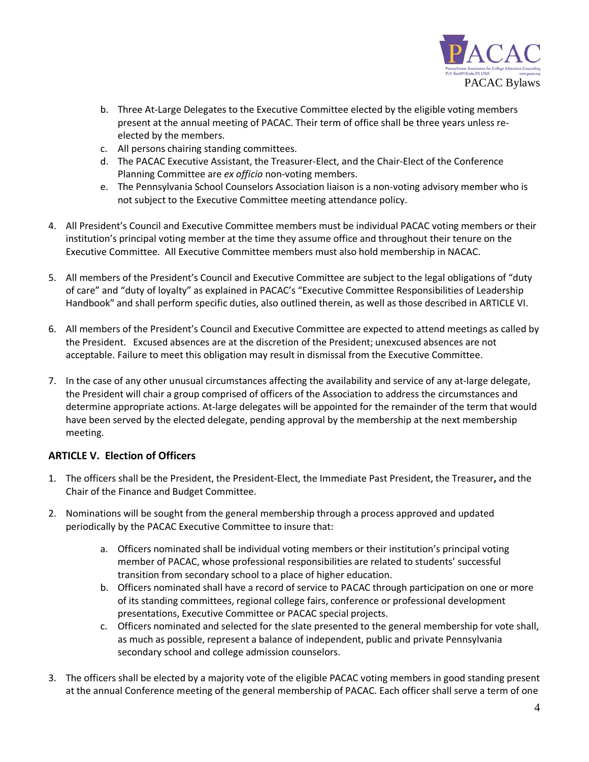

- b. Three At-Large Delegates to the Executive Committee elected by the eligible voting members present at the annual meeting of PACAC. Their term of office shall be three years unless reelected by the members.
- c. All persons chairing standing committees.
- d. The PACAC Executive Assistant, the Treasurer-Elect, and the Chair-Elect of the Conference Planning Committee are *ex officio* non-voting members.
- e. The Pennsylvania School Counselors Association liaison is a non-voting advisory member who is not subject to the Executive Committee meeting attendance policy.
- 4. All President's Council and Executive Committee members must be individual PACAC voting members or their institution's principal voting member at the time they assume office and throughout their tenure on the Executive Committee. All Executive Committee members must also hold membership in NACAC.
- 5. All members of the President's Council and Executive Committee are subject to the legal obligations of "duty of care" and "duty of loyalty" as explained in PACAC's "Executive Committee Responsibilities of Leadership Handbook" and shall perform specific duties, also outlined therein, as well as those described in ARTICLE VI.
- 6. All members of the President's Council and Executive Committee are expected to attend meetings as called by the President. Excused absences are at the discretion of the President; unexcused absences are not acceptable. Failure to meet this obligation may result in dismissal from the Executive Committee.
- 7. In the case of any other unusual circumstances affecting the availability and service of any at-large delegate, the President will chair a group comprised of officers of the Association to address the circumstances and determine appropriate actions. At-large delegates will be appointed for the remainder of the term that would have been served by the elected delegate, pending approval by the membership at the next membership meeting.

## **ARTICLE V. Election of Officers**

- 1. The officers shall be the President, the President-Elect, the Immediate Past President, the Treasurer**,** and the Chair of the Finance and Budget Committee.
- 2. Nominations will be sought from the general membership through a process approved and updated periodically by the PACAC Executive Committee to insure that:
	- a. Officers nominated shall be individual voting members or their institution's principal voting member of PACAC, whose professional responsibilities are related to students' successful transition from secondary school to a place of higher education.
	- b. Officers nominated shall have a record of service to PACAC through participation on one or more of its standing committees, regional college fairs, conference or professional development presentations, Executive Committee or PACAC special projects.
	- c. Officers nominated and selected for the slate presented to the general membership for vote shall, as much as possible, represent a balance of independent, public and private Pennsylvania secondary school and college admission counselors.
- 3. The officers shall be elected by a majority vote of the eligible PACAC voting members in good standing present at the annual Conference meeting of the general membership of PACAC. Each officer shall serve a term of one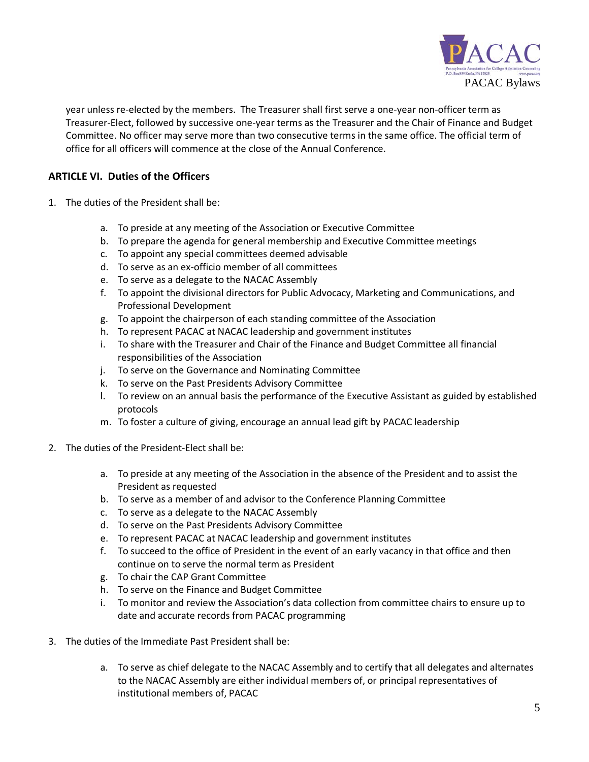

year unless re-elected by the members. The Treasurer shall first serve a one-year non-officer term as Treasurer-Elect, followed by successive one-year terms as the Treasurer and the Chair of Finance and Budget Committee. No officer may serve more than two consecutive terms in the same office. The official term of office for all officers will commence at the close of the Annual Conference.

# **ARTICLE VI. Duties of the Officers**

- 1. The duties of the President shall be:
	- a. To preside at any meeting of the Association or Executive Committee
	- b. To prepare the agenda for general membership and Executive Committee meetings
	- c. To appoint any special committees deemed advisable
	- d. To serve as an ex-officio member of all committees
	- e. To serve as a delegate to the NACAC Assembly
	- f. To appoint the divisional directors for Public Advocacy, Marketing and Communications, and Professional Development
	- g. To appoint the chairperson of each standing committee of the Association
	- h. To represent PACAC at NACAC leadership and government institutes
	- i. To share with the Treasurer and Chair of the Finance and Budget Committee all financial responsibilities of the Association
	- j. To serve on the Governance and Nominating Committee
	- k. To serve on the Past Presidents Advisory Committee
	- l. To review on an annual basis the performance of the Executive Assistant as guided by established protocols
	- m. To foster a culture of giving, encourage an annual lead gift by PACAC leadership
- 2. The duties of the President-Elect shall be:
	- a. To preside at any meeting of the Association in the absence of the President and to assist the President as requested
	- b. To serve as a member of and advisor to the Conference Planning Committee
	- c. To serve as a delegate to the NACAC Assembly
	- d. To serve on the Past Presidents Advisory Committee
	- e. To represent PACAC at NACAC leadership and government institutes
	- f. To succeed to the office of President in the event of an early vacancy in that office and then continue on to serve the normal term as President
	- g. To chair the CAP Grant Committee
	- h. To serve on the Finance and Budget Committee
	- i. To monitor and review the Association's data collection from committee chairs to ensure up to date and accurate records from PACAC programming
- 3. The duties of the Immediate Past President shall be:
	- a. To serve as chief delegate to the NACAC Assembly and to certify that all delegates and alternates to the NACAC Assembly are either individual members of, or principal representatives of institutional members of, PACAC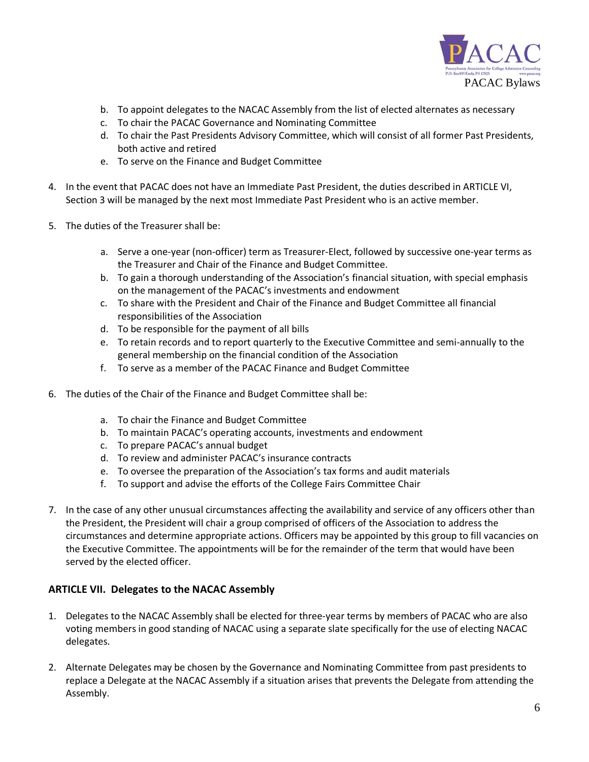

- b. To appoint delegates to the NACAC Assembly from the list of elected alternates as necessary
- c. To chair the PACAC Governance and Nominating Committee
- d. To chair the Past Presidents Advisory Committee, which will consist of all former Past Presidents, both active and retired
- e. To serve on the Finance and Budget Committee
- 4. In the event that PACAC does not have an Immediate Past President, the duties described in ARTICLE VI, Section 3 will be managed by the next most Immediate Past President who is an active member.
- 5. The duties of the Treasurer shall be:
	- a. Serve a one-year (non-officer) term as Treasurer-Elect, followed by successive one-year terms as the Treasurer and Chair of the Finance and Budget Committee.
	- b. To gain a thorough understanding of the Association's financial situation, with special emphasis on the management of the PACAC's investments and endowment
	- c. To share with the President and Chair of the Finance and Budget Committee all financial responsibilities of the Association
	- d. To be responsible for the payment of all bills
	- e. To retain records and to report quarterly to the Executive Committee and semi-annually to the general membership on the financial condition of the Association
	- f. To serve as a member of the PACAC Finance and Budget Committee
- 6. The duties of the Chair of the Finance and Budget Committee shall be:
	- a. To chair the Finance and Budget Committee
	- b. To maintain PACAC's operating accounts, investments and endowment
	- c. To prepare PACAC's annual budget
	- d. To review and administer PACAC's insurance contracts
	- e. To oversee the preparation of the Association's tax forms and audit materials
	- f. To support and advise the efforts of the College Fairs Committee Chair
- 7. In the case of any other unusual circumstances affecting the availability and service of any officers other than the President, the President will chair a group comprised of officers of the Association to address the circumstances and determine appropriate actions. Officers may be appointed by this group to fill vacancies on the Executive Committee. The appointments will be for the remainder of the term that would have been served by the elected officer.

## **ARTICLE VII. Delegates to the NACAC Assembly**

- 1. Delegates to the NACAC Assembly shall be elected for three-year terms by members of PACAC who are also voting members in good standing of NACAC using a separate slate specifically for the use of electing NACAC delegates.
- 2. Alternate Delegates may be chosen by the Governance and Nominating Committee from past presidents to replace a Delegate at the NACAC Assembly if a situation arises that prevents the Delegate from attending the Assembly.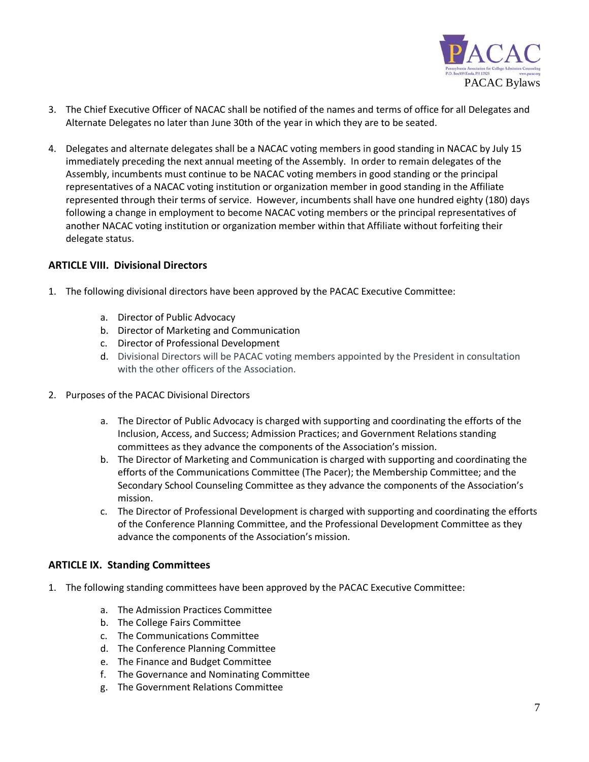

- 3. The Chief Executive Officer of NACAC shall be notified of the names and terms of office for all Delegates and Alternate Delegates no later than June 30th of the year in which they are to be seated.
- 4. Delegates and alternate delegates shall be a NACAC voting members in good standing in NACAC by July 15 immediately preceding the next annual meeting of the Assembly. In order to remain delegates of the Assembly, incumbents must continue to be NACAC voting members in good standing or the principal representatives of a NACAC voting institution or organization member in good standing in the Affiliate represented through their terms of service. However, incumbents shall have one hundred eighty (180) days following a change in employment to become NACAC voting members or the principal representatives of another NACAC voting institution or organization member within that Affiliate without forfeiting their delegate status.

#### **ARTICLE VIII. Divisional Directors**

- 1. The following divisional directors have been approved by the PACAC Executive Committee:
	- a. Director of Public Advocacy
	- b. Director of Marketing and Communication
	- c. Director of Professional Development
	- d. Divisional Directors will be PACAC voting members appointed by the President in consultation with the other officers of the Association.
- 2. Purposes of the PACAC Divisional Directors
	- a. The Director of Public Advocacy is charged with supporting and coordinating the efforts of the Inclusion, Access, and Success; Admission Practices; and Government Relations standing committees as they advance the components of the Association's mission.
	- b. The Director of Marketing and Communication is charged with supporting and coordinating the efforts of the Communications Committee (The Pacer); the Membership Committee; and the Secondary School Counseling Committee as they advance the components of the Association's mission.
	- c. The Director of Professional Development is charged with supporting and coordinating the efforts of the Conference Planning Committee, and the Professional Development Committee as they advance the components of the Association's mission.

## **ARTICLE IX. Standing Committees**

- 1. The following standing committees have been approved by the PACAC Executive Committee:
	- a. The Admission Practices Committee
	- b. The College Fairs Committee
	- c. The Communications Committee
	- d. The Conference Planning Committee
	- e. The Finance and Budget Committee
	- f. The Governance and Nominating Committee
	- g. The Government Relations Committee